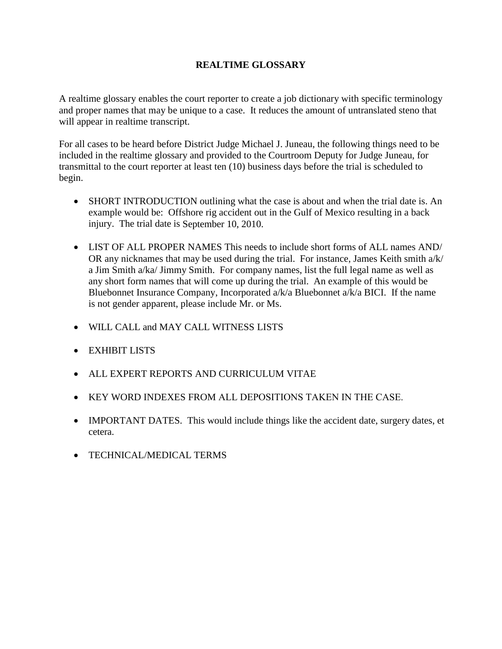## **REALTIME GLOSSARY**

A realtime glossary enables the court reporter to create a job dictionary with specific terminology and proper names that may be unique to a case. It reduces the amount of untranslated steno that will appear in realtime transcript.

For all cases to be heard before District Judge Michael J. Juneau, the following things need to be included in the realtime glossary and provided to the Courtroom Deputy for Judge Juneau, for transmittal to the court reporter at least ten (10) business days before the trial is scheduled to begin.

- SHORT INTRODUCTION outlining what the case is about and when the trial date is. An example would be: Offshore rig accident out in the Gulf of Mexico resulting in a back injury. The trial date is September 10, 2010.
- LIST OF ALL PROPER NAMES This needs to include short forms of ALL names AND/ OR any nicknames that may be used during the trial. For instance, James Keith smith a/k/ a Jim Smith a/ka/ Jimmy Smith. For company names, list the full legal name as well as any short form names that will come up during the trial. An example of this would be Bluebonnet Insurance Company, Incorporated a/k/a Bluebonnet a/k/a BICI. If the name is not gender apparent, please include Mr. or Ms.
- WILL CALL and MAY CALL WITNESS LISTS
- EXHIBIT LISTS
- ALL EXPERT REPORTS AND CURRICULUM VITAE
- KEY WORD INDEXES FROM ALL DEPOSITIONS TAKEN IN THE CASE.
- IMPORTANT DATES. This would include things like the accident date, surgery dates, et cetera.
- TECHNICAL/MEDICAL TERMS